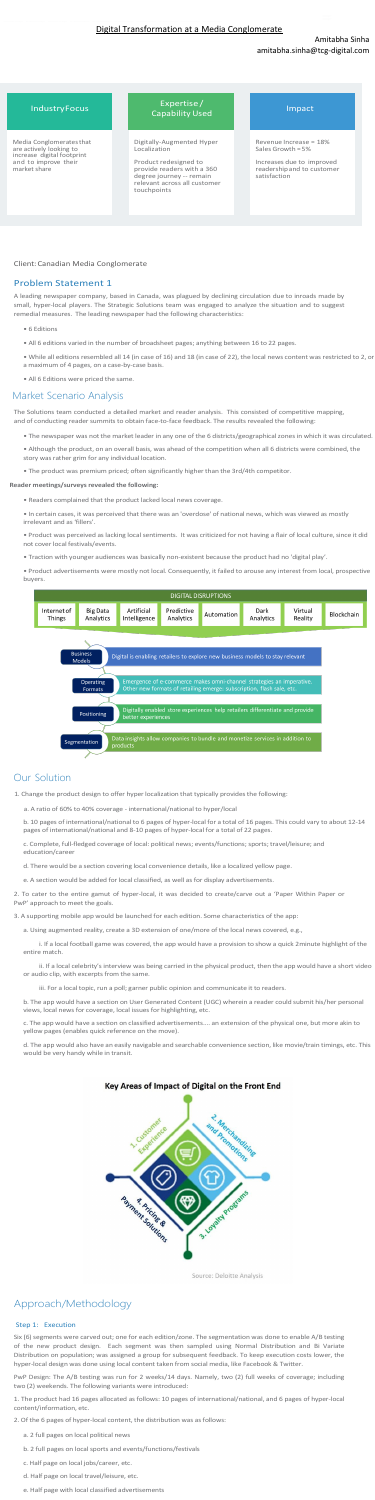Amitabha Sinha

## amitabha.sinha@tcg-digital.com

## Client:Canadian Media Conglomerate

## Problem Statement 1

A leading newspaper company, based in Canada, was plagued by declining circulation due to inroads made by small, hyper-local players. The Strategic Solutions team was engaged to analyze the situation and to suggest remedial measures. The leading newspaper had the following characteristics:

- 6 Editions
- All 6 editions varied in the number of broadsheet pages; anything between 16 to 22 pages.
- While all editions resembled all 14 (in case of 16) and 18 (in case of 22), the local news content was restricted to 2, or a maximum of 4 pages, on a case-by-case basis.
- All 6 Editions were priced the same.

## Market Scenario Analysis

The Solutions team conducted a detailed market and reader analysis. This consisted of competitive mapping, and of conducting reader summits to obtain face-to-face feedback. The results revealed the following:

2. To cater to the entire gamut of hyper-local, it was decided to create/carve out a 'Paper Within Paper or PwP' approach to meet the goals

- The newspaper was not the market leader in any one of the 6 districts/geographical zones in which it was circulated.
- Although the product, on an overall basis, was ahead of the competition when all 6 districts were combined, the story was rather grim for any individual location.
- The product was premium priced; often significantly higher than the 3rd/4th competitor.

### **Reader meetings/surveys revealed the following:**

• Readers complained that the product lacked local news coverage.

• In certain cases, it was perceived that there was an 'overdose' of national news, which was viewed as mostly irrelevant and as 'fillers'.

• Product was perceived as lacking local sentiments. It was criticized for not having a flair of local culture, since it did not cover local festivals/events.

• Traction with younger audiences was basically non-existent because the product had no 'digital play'.

• Product advertisements were mostly not local. Consequently, it failed to arouse any interest from local, prospective buyers.



# Our Solution

1. Change the product design to offer hyper localization that typically provides the following:

a. A ratio of 60% to 40% coverage - international/national to hyper/local

b. 10 pages of international/national to 6 pages of hyper-local for a total of 16 pages. This could vary to about 12-14 pages of international/national and 8-10 pages of hyper-local for a total of 22 pages.

IndustryFocus Expertise / **Capability Used Capability Used Impact** 

c. Complete, full-fledged coverage of local: political news; events/functions; sports; travel/leisure; and

education/career

d. There would be a section covering local convenience details, like a localized yellow page.

e. A section would be added for local classified, as well as for display advertisements.

3. A supporting mobile app would be launched for each edition. Some characteristics of the app:

a. Using augmented reality, create a 3D extension of one/more of the local news covered, e.g.,

 i. If a local football game was covered, the app would have a provision to show a quick 2minute highlight of the entire match.

 ii. If a local celebrity's interview was being carried in the physical product, then the app would have a short video or audio clip, with excerpts from the same.

iii. For a local topic, run a poll; garner public opinion and communicate it to readers.

b. The app would have a section on User Generated Content (UGC) wherein a reader could submit his/her personal views, local news for coverage, local issues for highlighting, etc.

c. The app would have a section on classified advertisements.... an extension of the physical one, but more akin to yellow pages (enables quick reference on the move).

d. The app would also have an easily navigable and searchable convenience section, like movie/train timings, etc. This would be very handy while in transit.

# Key Areas of Impact of Digital on the Front End



Source: Deloitte Analysis

# Approach/Methodology

#### Step 1: Execution

Six (6) segments were carved out; one for each edition/zone. The segmentation was done to enable A/B testing of the new product design. Each segment was then sampled using Normal Distribution and Bi Variate Distribution on population; was assigned a group for subsequent feedback. To keep execution costs lower, the hyper-local design was done using local content taken from social media, like Facebook & Twitter.

PwP Design: The A/B testing was run for 2 weeks/14 days. Namely, two (2) full weeks of coverage; including two (2) weekends. The following variants were introduced:

1. The product had 16 pages allocated as follows: 10 pages of international/national, and 6 pages of hyper-local content/information, etc.

2. Of the 6 pages of hyper-local content, the distribution was as follows:

- a. 2 full pages on local political news
- b. 2 full pages on local sports and events/functions/festivals
- c. Half page on local jobs/career, etc.
- d. Half page on local travel/leisure, etc.
- e. Half page with local classified advertisements

Media Conglomeratesthat are actively looking to increase digital footprint and to improve their market share

Digitally-Augmented Hyper Localization

Product redesigned to provide readers with a 360 degree journey -- remain relevant across all customer touchpoints

Revenue Increase = 18% Sales Growth = 5%

Increases due to improved readershipand to customer satisfaction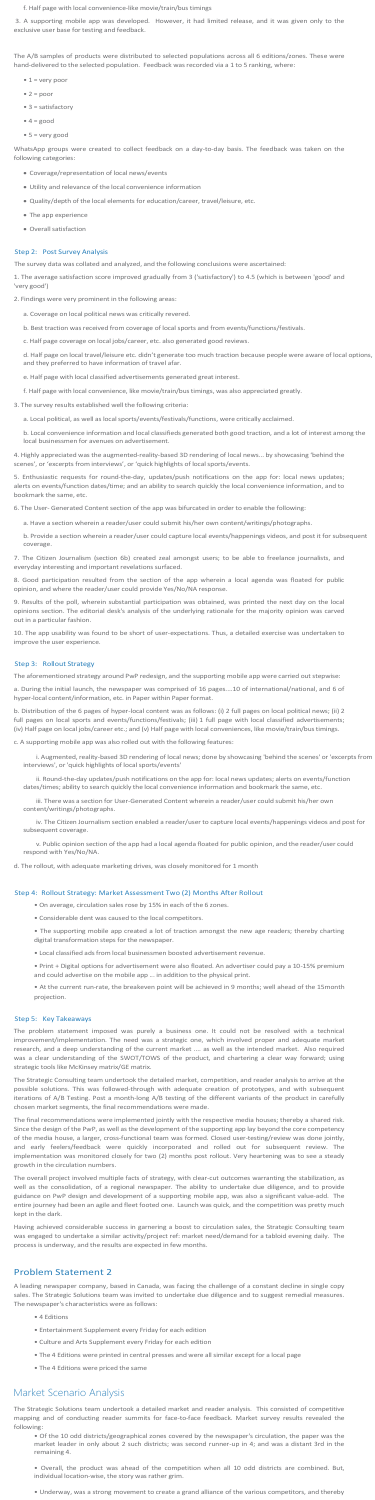f. Half page with local convenience-like movie/train/bus timings

The A/B samples of products were distributed to selected populations across all 6 editions/zones. These were hand-delivered to the selected population. Feedback was recorded via a 1 to 5 ranking, where:

- $1 = very poor$
- $\bullet$  2 = poor
- 3 = satisfactory
- $4 = good$
- $5 =$  very good

3. A supporting mobile app was developed. However, it had limited release, and it was given only to the exclusive user base for testing and feedback.

WhatsApp groups were created to collect feedback on a day-to-day basis. The feedback was taken on the following categories:

- Coverage/representation of local news/events
- Utility and relevance of the local convenience information
- Quality/depth of the local elements for education/career, travel/leisure, etc.
- The app experience
- Overall satisfaction

## Step 2: Post Survey Analysis

The survey data was collated and analyzed, and the following conclusions were ascertained:

1. The average satisfaction score improved gradually from 3 ('satisfactory') to 4.5 (which is between 'good' and

'very good') 2. Findings were very prominent in the following areas:

- a. Coverage on local political news was critically revered.
- b. Best traction was received from coverage of local sports and from events/functions/festivals.
- c. Half page coverage on local jobs/career, etc. also generated good reviews.

d. Half page on local travel/leisure etc. didn't generate too much traction because people were aware of local options, and they preferred to have information of travel afar.

e. Half page with local classified advertisements generated great interest.

f. Half page with local convenience, like movie/train/bus timings, was also appreciated greatly.

3. The survey results established well the following criteria:

a. Local political, as well as local sports/events/festivals/functions, were critically acclaimed.

b. Local convenience information and local classifieds generated both good traction, and a lot of interest among the local businessmen for avenues on advertisement.

4. Highly appreciated was the augmented-reality-based 3D rendering of local news... by showcasing 'behind the scenes', or 'excerpts from interviews', or 'quick highlights of local sports/events.

5. Enthusiastic requests for round-the-day, updates/push notifications on the app for: local news updates; alerts on events/function dates/time; and an ability to search quickly the local convenience information, and to bookmark the same, etc.

6. The User- Generated Content section of the app was bifurcated in order to enable the following:

a. Have a section wherein a reader/user could submit his/her own content/writings/photographs.

b. Provide a section wherein a reader/user could capture local events/happenings videos, and post it for subsequent coverage.

7. The Citizen Journalism (section 6b) created zeal amongst users; to be able to freelance journalists, and everyday interesting and important revelations surfaced.

8. Good participation resulted from the section of the app wherein a local agenda was floated for public opinion, and where the reader/user could provide Yes/No/NA response.

9. Results of the poll, wherein substantial participation was obtained, was printed the next day on the local opinions section. The editorial desk's analysis of the underlying rationale for the majority opinion was carved out in a particular fashion.

10. The app usability was found to be short of user-expectations. Thus, a detailed exercise was undertaken to improve the user experience.

#### Step 3: Rollout Strategy

The aforementioned strategy around PwP redesign, and the supporting mobile app were carried out stepwise:

a. During the initial launch, the newspaper was comprised of 16 pages....10 of international/national, and 6 of hyper-local content/information, etc. in Paper within Paper format.

b. Distribution of the 6 pages of hyper-local content was as follows: (i) 2 full pages on local political news; (ii) 2 full pages on local sports and events/functions/festivals; (iii) 1 full page with local classified advertisements; (iv) Half page on local jobs/career etc.; and (v) Half page with local conveniences, like movie/train/bus timings.

c. A supporting mobile app was also rolled out with the following features:

 i. Augmented, reality-based 3D rendering of local news; done by showcasing 'behind the scenes' or 'excerpts from interviews', or 'quick highlights of local sports/events'

 ii. Round-the-day updates/push notifications on the app for: local news updates; alerts on events/function dates/times; ability to search quickly the local convenience information and bookmark the same, etc.

 iii. There was a section for User-Generated Content wherein a reader/user could submit his/her own content/writings/photographs.

 iv. The Citizen Journalism section enabled a reader/user to capture local events/happenings videos and post for subsequent coverage.

v. Public opinion section of the app had a local agenda floated for public opinion, and the reader/user could

respond with Yes/No/NA.

d. The rollout, with adequate marketing drives, was closely monitored for 1 month

### Step 4: Rollout Strategy: Market Assessment Two (2) Months After Rollout

- On average, circulation sales rose by 15% in each of the 6 zones.
- Considerable dent was caused to the local competitors.

• The supporting mobile app created a lot of traction amongst the new age readers; thereby charting digital transformation steps for the newspaper.

• Local classified ads from local businessmen boosted advertisement revenue.

• Print + Digital options for advertisement were also floated. An advertiser could pay a 10-15% premium and could advertise on the mobile app ... in addition to the physical print.

• At the current run-rate, the breakeven point will be achieved in 9 months; well ahead of the 15month projection.

#### Step 5: Key Takeaways

The problem statement imposed was purely a business one. It could not be resolved with a technical improvement/implementation. The need was a strategic one, which involved proper and adequate market research, and a deep understanding of the current market .... as well as the intended market. Also required was a clear understanding of the SWOT/TOWS of the product, and chartering a clear way forward; using strategic tools like McKinsey matrix/GE matrix.

The Strategic Consulting team undertook the detailed market, competition, and reader analysis to arrive at the possible solutions. This was followed-through with adequate creation of prototypes, and with subsequent iterations of A/B Testing. Post a month-long A/B testing of the different variants of the product in carefully chosen market segments, the final recommendations were made.

The final recommendations were implemented jointly with the respective media houses; thereby a shared risk. Since the design of the PwP, as well as the development of the supporting app lay beyond the core competency of the media house, a larger, cross-functional team was formed. Closed user-testing/review was done jointly, and early feelers/feedback were quickly incorporated and rolled out for subsequent review. The implementation was monitored closely for two (2) months post rollout. Very heartening was to see a steady growth in the circulation numbers.

The overall project involved multiple facts of strategy, with clear-cut outcomes warranting the stabilization, as well as the consolidation, of a regional newspaper. The ability to undertake due diligence, and to provide guidance on PwP design and development of a supporting mobile app, was also a significant value-add. The entire journey had been an agile and fleet footed one. Launch was quick, and the competition was pretty much kept in the dark.

Having achieved considerable success in garnering a boost to circulation sales, the Strategic Consulting team was engaged to undertake a similar activity/project ref: market need/demand for a tabloid evening daily. The process is underway, and the results are expected in few months.

## Problem Statement 2

A leading newspaper company, based in Canada, was facing the challenge of a constant decline in single copy sales. The Strategic Solutions team was invited to undertake due diligence and to suggest remedial measures. The newspaper's characteristics were as follows:

- 4 Editions
- Entertainment Supplement every Friday for each edition
- Culture and Arts Supplement every Friday for each edition
- The 4 Editions were printed in central presses and were all similar except for a local page
- The 4 Editions were priced the same

# Market Scenario Analysis

The Strategic Solutions team undertook a detailed market and reader analysis. This consisted of competitive mapping and of conducting reader summits for face-to-face feedback. Market survey results revealed the following:

• Of the 10 odd districts/geographical zones covered by the newspaper's circulation, the paper was the market leader in only about 2 such districts; was second runner-up in 4; and was a distant 3rd in the remaining 4.

• Overall, the product was ahead of the competition when all 10 odd districts are combined. But, individual location-wise, the story was rather grim.

• Underway, was a strong movement to create a grand alliance of the various competitors, and thereby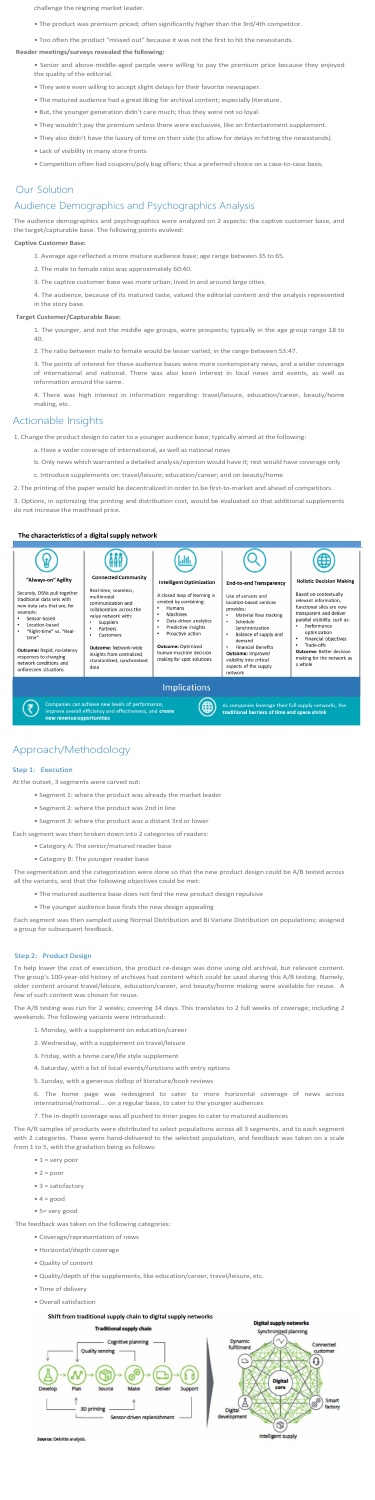challenge the reigning market leader.

- The product was premium priced; often significantly higher than the 3rd/4th competitor.
- Too often the product "missed out" because it was not the first to hit the newsstands.

#### **Reader meetings/surveys revealed the following:**

- Senior and above-middle-aged people were willing to pay the premium price because they enjoyed the quality of the editorial.
- They were even willing to accept slight delays for their favorite newspaper.
- The matured audience had a great liking for archival content; especially literature.
- But, the younger generation didn't care much; thus they were not so loyal.
- They wouldn't pay the premium unless there were exclusives, like an Entertainment supplement.
- They also didn't have the luxury of time on their side (to allow for delays in hitting the newsstands).
- Lack of visibility in many store fronts
- Competition often had coupons/poly bag offers; thus a preferred choice on a case-to-case basis.

## Our Solution

# Audience Demographics and Psychographics Analysis

The audience demographics and psychographics were analyzed on 2 aspects: the captive customer base, and the target/capturable base. The following points evolved:

### **Captive Customer Base:**

- 1. Average age reflected a more mature audience base; age range between 35 to 65.
- 2. The male to female ratio was approximately 60:40.
- 3. The captive customer base was more urban; lived in and around large cities.

4. The audience, because of its matured taste, valued the editorial content and the analysis represented in the story base.

#### **Target Customer/Capturable Base:**

1. The younger, and not the middle age groups, were prospects; typically in the age group range 18 to 40.

2. The ratio between male to female would be lesser varied; in the range between 53:47.

3. The points of interest for these audience bases were more contemporary news, and a wider coverage of international and national. There was also keen interest in local news and events, as well as information around the same.

4. There was high interest in information regarding: travel/leisure, education/career, beauty/home making, etc.

## Actionable Insights

1. Change the product design to cater to a younger audience base; typically aimed at the following:

- a. Have a wider coverage of international, as well as national news
- b. Only news which warranted a detailed analysis/opinion would have it; rest would have coverage only
- c. Introduce supplements on: travel/leisure; education/career; and on beauty/home
- 2. The printing of the paper would be decentralized in order to be first-to-market and ahead of competitors.

- $1 = very poor$
- $\bullet$  2 = poor
- 3 = satisfactory
- $\bullet$  4 = good
- 5= very good

3. Options, in optimizing the printing and distribution cost, would be evaluated so that additional supplements do not increase the masthead price.

#### The characteristics of a digital supply network



**Outcome:** Rapid, no-latency<br>responses to changing<br>network conditions and unforeseen situations

(₹

**Outcome:** Network-wide<br>insights from centralized,<br>standardized, synchronized

making for spot solutions

human-machine decision

## Implications

∉



data

As companies leverage their full supply netw<br>traditional barriers of time and space shrink

# Approach/Methodology

## Step 1: Execution

At the outset, 3 segments were carved out:

- Segment 1: where the product was already the market leader
- Segment 2: where the product was 2nd in line
- Segment 3: where the product was a distant 3rd or lower
- Each segment was then broken down into 2 categories of readers:
	- Category A: The senior/matured reader base

**Financial Benefits** 

**Outcome:** Improved<br>visibility into critical<br>aspects of the supply making for the network as a whole network

• Category B: The younger reader base

The segmentation and the categorization were done so that the new product design could be A/B tested across all the variants, and that the following objectives could be met:

- The matured audience base does not find the new product design repulsive
- The younger audience base finds the new design appealing

Each segment was then sampled using Normal Distribution and Bi Variate Distribution on populations; assigned a group for subsequent feedback.

## Step 2: Product Design

To help lower the cost of execution, the product re-design was done using old archival, but relevant content. The group's 100-year-old history of archives had content which could be used during this A/B testing. Namely, older content around travel/leisure, education/career, and beauty/home making were available for reuse. A few of such content was chosen for reuse.

The A/B testing was run for 2 weeks; covering 14 days. This translates to 2 full weeks of coverage; including 2 weekends. The following variants were introduced:

- 1. Monday, with a supplement on education/career
- 2. Wednesday, with a supplement on travel/leisure
- 3. Friday, with a home care/life style supplement
- 4. Saturday, with a list of local events/functions with entry options
- 5. Sunday, with a generous dollop of literature/book reviews

6. The home page was redesigned to cater to more horizontal coverage of news across international/national.... on a regular basis, to cater to the younger audiences

7. The in-depth coverage was all pushed to inner pages to cater to matured audiences

The A/B samples of products were distributed to select populations across all 3 segments, and to each segment with 2 categories. These were hand-delivered to the selected population, and feedback was taken on a scale from 1 to 5, with the gradation being as follows:

The feedback was taken on the following categories:

- Coverage/representation of news
- Horizontal/depth coverage
- Quality of content
- Quality/depth of the supplements, like education/career, travel/leisure, etc.
- Time of delivery
- Overall satisfaction

## Shift from traditional supply chain to digital supply networks





rce: Deloitte analysis.